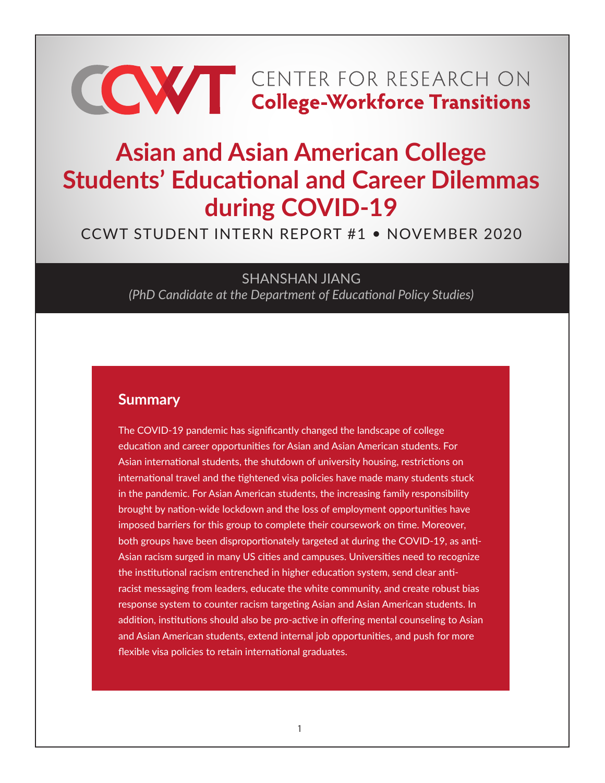# **CONTER FOR RESEARCH ON College-Workforce Transitions**

# **Asian and Asian American College Students' Educational and Career Dilemmas during COVID-19**

# CCWT STUDENT INTERN REPORT #1 • NOVEMBER 2020

SHANSHAN JIANG *(PhD Candidate at the Department of Educational Policy Studies)*

#### **Summary**

The COVID-19 pandemic has significantly changed the landscape of college education and career opportunities for Asian and Asian American students. For Asian international students, the shutdown of university housing, restrictions on international travel and the tightened visa policies have made many students stuck in the pandemic. For Asian American students, the increasing family responsibility brought by nation-wide lockdown and the loss of employment opportunities have imposed barriers for this group to complete their coursework on time. Moreover, both groups have been disproportionately targeted at during the COVID-19, as anti-Asian racism surged in many US cities and campuses. Universities need to recognize the institutional racism entrenched in higher education system, send clear antiracist messaging from leaders, educate the white community, and create robust bias response system to counter racism targeting Asian and Asian American students. In addition, institutions should also be pro-active in offering mental counseling to Asian and Asian American students, extend internal job opportunities, and push for more flexible visa policies to retain international graduates.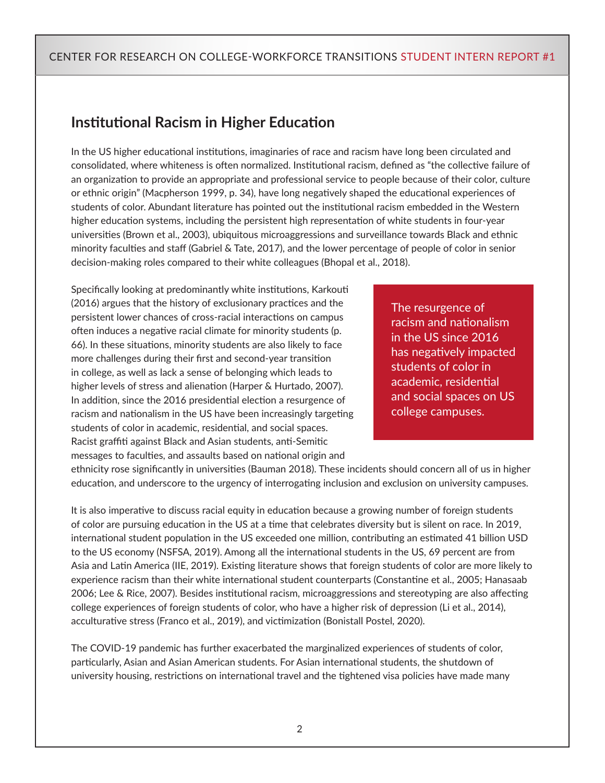# **Institutional Racism in Higher Education**

In the US higher educational institutions, imaginaries of race and racism have long been circulated and consolidated, where whiteness is often normalized. Institutional racism, defined as "the collective failure of an organization to provide an appropriate and professional service to people because of their color, culture or ethnic origin" (Macpherson 1999, p. 34), have long negatively shaped the educational experiences of students of color. Abundant literature has pointed out the institutional racism embedded in the Western higher education systems, including the persistent high representation of white students in four-year universities (Brown et al., 2003), ubiquitous microaggressions and surveillance towards Black and ethnic minority faculties and staff (Gabriel & Tate, 2017), and the lower percentage of people of color in senior decision-making roles compared to their white colleagues (Bhopal et al., 2018).

Specifically looking at predominantly white institutions, Karkouti (2016) argues that the history of exclusionary practices and the persistent lower chances of cross-racial interactions on campus often induces a negative racial climate for minority students (p. 66). In these situations, minority students are also likely to face more challenges during their first and second-year transition in college, as well as lack a sense of belonging which leads to higher levels of stress and alienation (Harper & Hurtado, 2007). In addition, since the 2016 presidential election a resurgence of racism and nationalism in the US have been increasingly targeting students of color in academic, residential, and social spaces. Racist graffiti against Black and Asian students, anti-Semitic messages to faculties, and assaults based on national origin and

The resurgence of racism and nationalism in the US since 2016 has negatively impacted students of color in academic, residential and social spaces on US college campuses.

ethnicity rose significantly in universities (Bauman 2018). These incidents should concern all of us in higher education, and underscore to the urgency of interrogating inclusion and exclusion on university campuses.

It is also imperative to discuss racial equity in education because a growing number of foreign students of color are pursuing education in the US at a time that celebrates diversity but is silent on race. In 2019, international student population in the US exceeded one million, contributing an estimated 41 billion USD to the US economy (NSFSA, 2019). Among all the international students in the US, 69 percent are from Asia and Latin America (IIE, 2019). Existing literature shows that foreign students of color are more likely to experience racism than their white international student counterparts (Constantine et al., 2005; Hanasaab 2006; Lee & Rice, 2007). Besides institutional racism, microaggressions and stereotyping are also affecting college experiences of foreign students of color, who have a higher risk of depression (Li et al., 2014), acculturative stress (Franco et al., 2019), and victimization (Bonistall Postel, 2020).

The COVID-19 pandemic has further exacerbated the marginalized experiences of students of color, particularly, Asian and Asian American students. For Asian international students, the shutdown of university housing, restrictions on international travel and the tightened visa policies have made many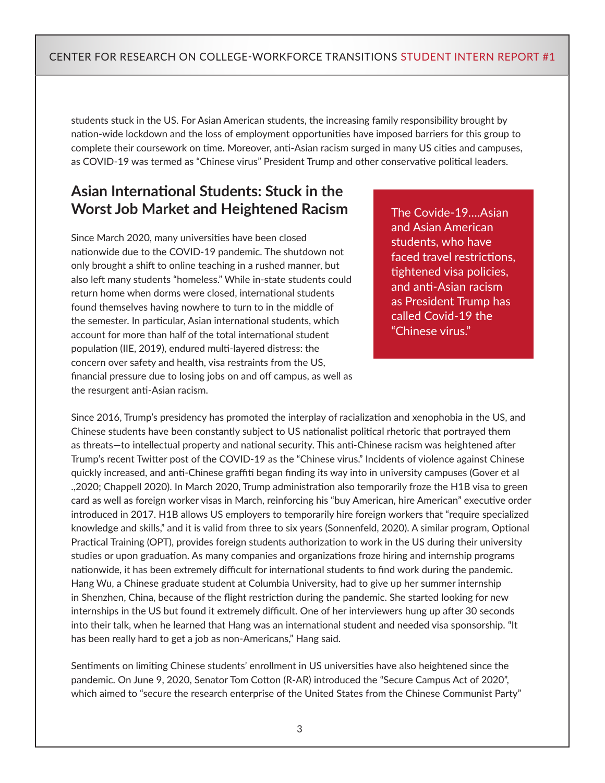students stuck in the US. For Asian American students, the increasing family responsibility brought by nation-wide lockdown and the loss of employment opportunities have imposed barriers for this group to complete their coursework on time. Moreover, anti-Asian racism surged in many US cities and campuses, as COVID-19 was termed as "Chinese virus" President Trump and other conservative political leaders.

## **Asian International Students: Stuck in the Worst Job Market and Heightened Racism**

Since March 2020, many universities have been closed nationwide due to the COVID-19 pandemic. The shutdown not only brought a shift to online teaching in a rushed manner, but also left many students "homeless." While in-state students could return home when dorms were closed, international students found themselves having nowhere to turn to in the middle of the semester. In particular, Asian international students, which account for more than half of the total international student population (IIE, 2019), endured multi-layered distress: the concern over safety and health, visa restraints from the US, financial pressure due to losing jobs on and off campus, as well as the resurgent anti-Asian racism.

The Covide-19….Asian and Asian American students, who have faced travel restrictions, tightened visa policies, and anti-Asian racism as President Trump has called Covid-19 the "Chinese virus."

Since 2016, Trump's presidency has promoted the interplay of racialization and xenophobia in the US, and Chinese students have been constantly subject to US nationalist political rhetoric that portrayed them as threats—to intellectual property and national security. This anti-Chinese racism was heightened after Trump's recent Twitter post of the COVID-19 as the "Chinese virus." Incidents of violence against Chinese quickly increased, and anti-Chinese graffiti began finding its way into in university campuses (Gover et al .,2020; Chappell 2020). In March 2020, Trump administration also temporarily froze the H1B visa to green card as well as foreign worker visas in March, reinforcing his "buy American, hire American" executive order introduced in 2017. H1B allows US employers to temporarily hire foreign workers that "require specialized knowledge and skills," and it is valid from three to six years (Sonnenfeld, 2020). A similar program, Optional Practical Training (OPT), provides foreign students authorization to work in the US during their university studies or upon graduation. As many companies and organizations froze hiring and internship programs nationwide, it has been extremely difficult for international students to find work during the pandemic. Hang Wu, a Chinese graduate student at Columbia University, had to give up her summer internship in Shenzhen, China, because of the flight restriction during the pandemic. She started looking for new internships in the US but found it extremely difficult. One of her interviewers hung up after 30 seconds into their talk, when he learned that Hang was an international student and needed visa sponsorship. "It has been really hard to get a job as non-Americans," Hang said.

Sentiments on limiting Chinese students' enrollment in US universities have also heightened since the pandemic. On June 9, 2020, Senator Tom Cotton (R-AR) introduced the "Secure Campus Act of 2020", which aimed to "secure the research enterprise of the United States from the Chinese Communist Party"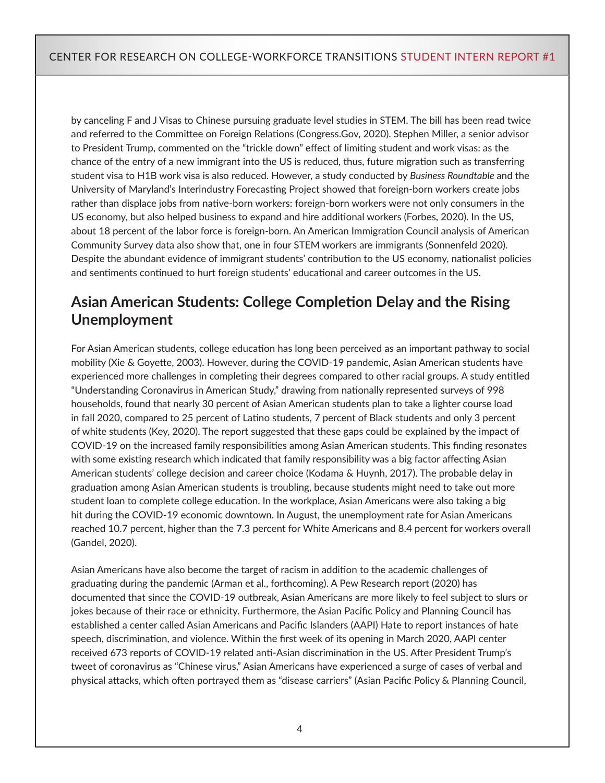by canceling F and J Visas to Chinese pursuing graduate level studies in STEM. The bill has been read twice and referred to the Committee on Foreign Relations (Congress.Gov, 2020). Stephen Miller, a senior advisor to President Trump, commented on the "trickle down" effect of limiting student and work visas: as the chance of the entry of a new immigrant into the US is reduced, thus, future migration such as transferring student visa to H1B work visa is also reduced. However, a study conducted by *Business Roundtable* and the University of Maryland's Interindustry Forecasting Project showed that foreign-born workers create jobs rather than displace jobs from native-born workers: foreign-born workers were not only consumers in the US economy, but also helped business to expand and hire additional workers (Forbes, 2020). In the US, about 18 percent of the labor force is foreign-born. An American Immigration Council analysis of American Community Survey data also show that, one in four STEM workers are immigrants (Sonnenfeld 2020). Despite the abundant evidence of immigrant students' contribution to the US economy, nationalist policies and sentiments continued to hurt foreign students' educational and career outcomes in the US.

# **Asian American Students: College Completion Delay and the Rising Unemployment**

For Asian American students, college education has long been perceived as an important pathway to social mobility (Xie & Goyette, 2003). However, during the COVID-19 pandemic, Asian American students have experienced more challenges in completing their degrees compared to other racial groups. A study entitled "Understanding Coronavirus in American Study," drawing from nationally represented surveys of 998 households, found that nearly 30 percent of Asian American students plan to take a lighter course load in fall 2020, compared to 25 percent of Latino students, 7 percent of Black students and only 3 percent of white students (Key, 2020). The report suggested that these gaps could be explained by the impact of COVID-19 on the increased family responsibilities among Asian American students. This finding resonates with some existing research which indicated that family responsibility was a big factor affecting Asian American students' college decision and career choice (Kodama & Huynh, 2017). The probable delay in graduation among Asian American students is troubling, because students might need to take out more student loan to complete college education. In the workplace, Asian Americans were also taking a big hit during the COVID-19 economic downtown. In August, the unemployment rate for Asian Americans reached 10.7 percent, higher than the 7.3 percent for White Americans and 8.4 percent for workers overall (Gandel, 2020).

Asian Americans have also become the target of racism in addition to the academic challenges of graduating during the pandemic (Arman et al., forthcoming). A Pew Research report (2020) has documented that since the COVID-19 outbreak, Asian Americans are more likely to feel subject to slurs or jokes because of their race or ethnicity. Furthermore, the Asian Pacific Policy and Planning Council has established a center called Asian Americans and Pacific Islanders (AAPI) Hate to report instances of hate speech, discrimination, and violence. Within the first week of its opening in March 2020, AAPI center received 673 reports of COVID-19 related anti-Asian discrimination in the US. After President Trump's tweet of coronavirus as "Chinese virus," Asian Americans have experienced a surge of cases of verbal and physical attacks, which often portrayed them as "disease carriers" (Asian Pacific Policy & Planning Council,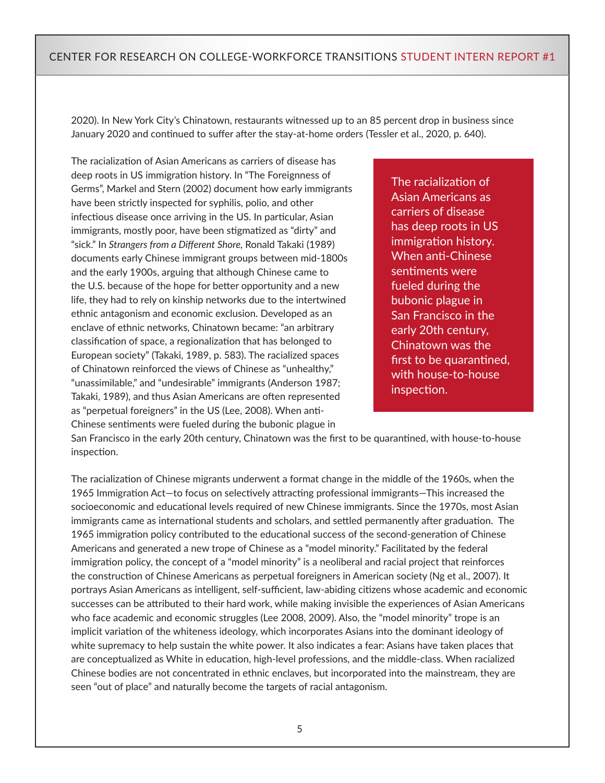2020). In New York City's Chinatown, restaurants witnessed up to an 85 percent drop in business since January 2020 and continued to suffer after the stay-at-home orders (Tessler et al., 2020, p. 640).

The racialization of Asian Americans as carriers of disease has deep roots in US immigration history. In "The Foreignness of Germs", Markel and Stern (2002) document how early immigrants have been strictly inspected for syphilis, polio, and other infectious disease once arriving in the US. In particular, Asian immigrants, mostly poor, have been stigmatized as "dirty" and "sick." In *Strangers from a Different Shore,* Ronald Takaki (1989) documents early Chinese immigrant groups between mid-1800s and the early 1900s, arguing that although Chinese came to the U.S. because of the hope for better opportunity and a new life, they had to rely on kinship networks due to the intertwined ethnic antagonism and economic exclusion. Developed as an enclave of ethnic networks, Chinatown became: "an arbitrary classification of space, a regionalization that has belonged to European society" (Takaki, 1989, p. 583). The racialized spaces of Chinatown reinforced the views of Chinese as "unhealthy," "unassimilable," and "undesirable" immigrants (Anderson 1987; Takaki, 1989), and thus Asian Americans are often represented as "perpetual foreigners" in the US (Lee, 2008). When anti-Chinese sentiments were fueled during the bubonic plague in

The racialization of Asian Americans as carriers of disease has deep roots in US immigration history. When anti-Chinese sentiments were fueled during the bubonic plague in San Francisco in the early 20th century, Chinatown was the first to be quarantined, with house-to-house inspection.

San Francisco in the early 20th century, Chinatown was the first to be quarantined, with house-to-house inspection.

The racialization of Chinese migrants underwent a format change in the middle of the 1960s, when the 1965 Immigration Act—to focus on selectively attracting professional immigrants—This increased the socioeconomic and educational levels required of new Chinese immigrants. Since the 1970s, most Asian immigrants came as international students and scholars, and settled permanently after graduation. The 1965 immigration policy contributed to the educational success of the second-generation of Chinese Americans and generated a new trope of Chinese as a "model minority." Facilitated by the federal immigration policy, the concept of a "model minority" is a neoliberal and racial project that reinforces the construction of Chinese Americans as perpetual foreigners in American society (Ng et al., 2007). It portrays Asian Americans as intelligent, self-sufficient, law-abiding citizens whose academic and economic successes can be attributed to their hard work, while making invisible the experiences of Asian Americans who face academic and economic struggles (Lee 2008, 2009). Also, the "model minority" trope is an implicit variation of the whiteness ideology, which incorporates Asians into the dominant ideology of white supremacy to help sustain the white power. It also indicates a fear: Asians have taken places that are conceptualized as White in education, high-level professions, and the middle-class. When racialized Chinese bodies are not concentrated in ethnic enclaves, but incorporated into the mainstream, they are seen "out of place" and naturally become the targets of racial antagonism.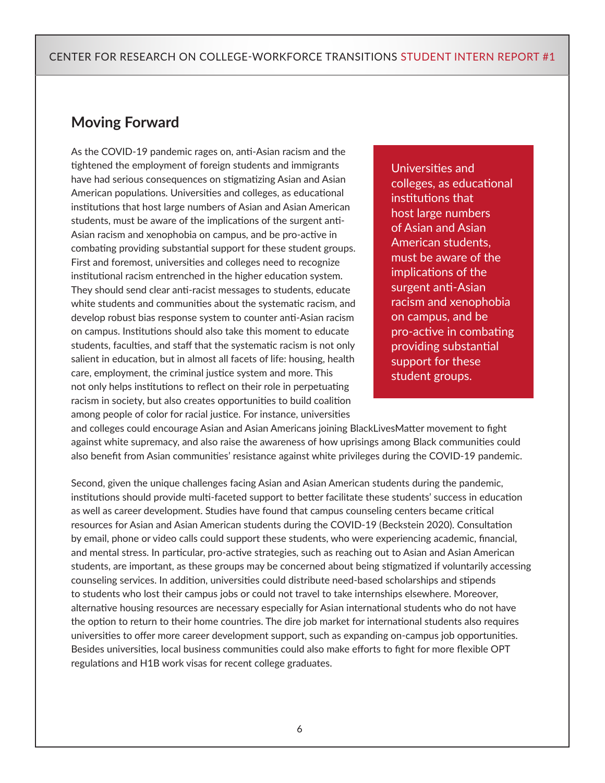#### **Moving Forward**

As the COVID-19 pandemic rages on, anti-Asian racism and the tightened the employment of foreign students and immigrants have had serious consequences on stigmatizing Asian and Asian American populations. Universities and colleges, as educational institutions that host large numbers of Asian and Asian American students, must be aware of the implications of the surgent anti-Asian racism and xenophobia on campus, and be pro-active in combating providing substantial support for these student groups. First and foremost, universities and colleges need to recognize institutional racism entrenched in the higher education system. They should send clear anti-racist messages to students, educate white students and communities about the systematic racism, and develop robust bias response system to counter anti-Asian racism on campus. Institutions should also take this moment to educate students, faculties, and staff that the systematic racism is not only salient in education, but in almost all facets of life: housing, health care, employment, the criminal justice system and more. This not only helps institutions to reflect on their role in perpetuating racism in society, but also creates opportunities to build coalition among people of color for racial justice. For instance, universities

Universities and colleges, as educational institutions that host large numbers of Asian and Asian American students, must be aware of the implications of the surgent anti-Asian racism and xenophobia on campus, and be pro-active in combating providing substantial support for these student groups.

and colleges could encourage Asian and Asian Americans joining BlackLivesMatter movement to fight against white supremacy, and also raise the awareness of how uprisings among Black communities could also benefit from Asian communities' resistance against white privileges during the COVID-19 pandemic.

Second, given the unique challenges facing Asian and Asian American students during the pandemic, institutions should provide multi-faceted support to better facilitate these students' success in education as well as career development. Studies have found that campus counseling centers became critical resources for Asian and Asian American students during the COVID-19 (Beckstein 2020). Consultation by email, phone or video calls could support these students, who were experiencing academic, financial, and mental stress. In particular, pro-active strategies, such as reaching out to Asian and Asian American students, are important, as these groups may be concerned about being stigmatized if voluntarily accessing counseling services. In addition, universities could distribute need-based scholarships and stipends to students who lost their campus jobs or could not travel to take internships elsewhere. Moreover, alternative housing resources are necessary especially for Asian international students who do not have the option to return to their home countries. The dire job market for international students also requires universities to offer more career development support, such as expanding on-campus job opportunities. Besides universities, local business communities could also make efforts to fight for more flexible OPT regulations and H1B work visas for recent college graduates.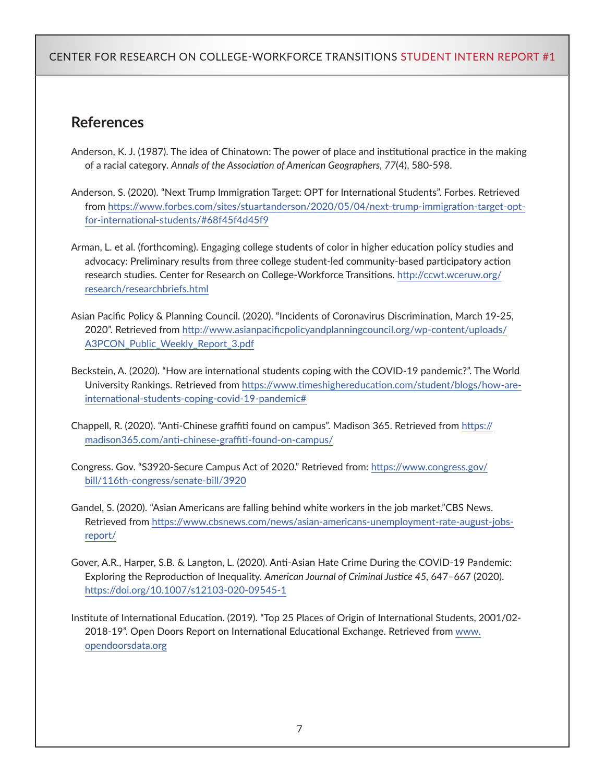### **References**

- Anderson, K. J. (1987). The idea of Chinatown: The power of place and institutional practice in the making of a racial category. *Annals of the Association of American Geographers, 77*(4), 580-598.
- Anderson, S. (2020). "Next Trump Immigration Target: OPT for International Students". Forbes. Retrieved from [https://www.forbes.com/sites/stuartanderson/2020/05/04/next-trump-immigration-target-opt](https://www.forbes.com/sites/stuartanderson/2020/05/04/next-trump-immigration-target-opt-for-international-students/#68f45f4d45f9)[for-international-students/#68f45f4d45f9](https://www.forbes.com/sites/stuartanderson/2020/05/04/next-trump-immigration-target-opt-for-international-students/#68f45f4d45f9)
- Arman, L. et al. (forthcoming). Engaging college students of color in higher education policy studies and advocacy: Preliminary results from three college student-led community-based participatory action research studies. Center for Research on College-Workforce Transitions. [http://ccwt.wceruw.org/](http://ccwt.wceruw.org/research/researchbriefs.html) [research/researchbriefs.html](http://ccwt.wceruw.org/research/researchbriefs.html)
- Asian Pacific Policy & Planning Council. (2020). "Incidents of Coronavirus Discrimination, March 19-25, 2020". Retrieved from [http://www.asianpacificpolicyandplanningcouncil.org/wp-content/uploads/](http://www.asianpacificpolicyandplanningcouncil.org/wp-content/uploads/A3PCON_Public_Weekly_Report_3.pdf) [A3PCON\\_Public\\_Weekly\\_Report\\_3.pdf](http://www.asianpacificpolicyandplanningcouncil.org/wp-content/uploads/A3PCON_Public_Weekly_Report_3.pdf)
- Beckstein, A. (2020). "How are international students coping with the COVID-19 pandemic?". The World University Rankings. Retrieved from [https://www.timeshighereducation.com/student/blogs/how-are](https://www.timeshighereducation.com/student/blogs/how-are-international-students-coping-covid-19-pandemic#)[international-students-coping-covid-19-pandemic#](https://www.timeshighereducation.com/student/blogs/how-are-international-students-coping-covid-19-pandemic#)
- Chappell, R. (2020). "Anti-Chinese graffiti found on campus". Madison 365. Retrieved from [https://](https://madison365.com/anti-chinese-graffiti-found-on-campus/) [madison365.com/anti-chinese-graffiti-found-on-campus/](https://madison365.com/anti-chinese-graffiti-found-on-campus/)
- Congress. Gov. "S3920-Secure Campus Act of 2020." Retrieved from: [https://www.congress.gov/](https://www.congress.gov/bill/116th-congress/senate-bill/3920) [bill/116th-congress/senate-bill/3920](https://www.congress.gov/bill/116th-congress/senate-bill/3920)
- Gandel, S. (2020). "Asian Americans are falling behind white workers in the job market."CBS News. Retrieved from [https://www.cbsnews.com/news/asian-americans-unemployment-rate-august-jobs](https://www.cbsnews.com/news/asian-americans-unemployment-rate-august-jobs-report/)[report/](https://www.cbsnews.com/news/asian-americans-unemployment-rate-august-jobs-report/)
- Gover, A.R., Harper, S.B. & Langton, L. (2020). Anti-Asian Hate Crime During the COVID-19 Pandemic: Exploring the Reproduction of Inequality. *American Journal of Criminal Justice 45,* 647–667 (2020). <https://doi.org/10.1007/s12103-020-09545-1>
- Institute of International Education. (2019). "Top 25 Places of Origin of International Students, 2001/02- 2018-19". Open Doors Report on International Educational Exchange. Retrieved from [www.](http://www.opendoorsdata.org) [opendoorsdata.org](http://www.opendoorsdata.org)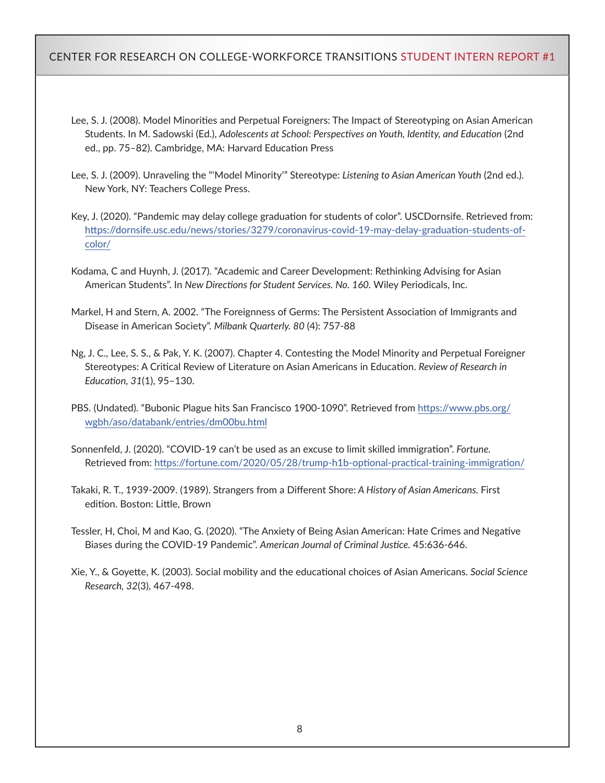- Lee, S. J. (2008). Model Minorities and Perpetual Foreigners: The Impact of Stereotyping on Asian American Students. In M. Sadowski (Ed.), *Adolescents at School: Perspectives on Youth, Identity, and Education* (2nd ed., pp. 75–82). Cambridge, MA: Harvard Education Press
- Lee, S. J. (2009). Unraveling the "'Model Minority'" Stereotype: *Listening to Asian American Youth* (2nd ed.). New York, NY: Teachers College Press.
- Key, J. (2020). "Pandemic may delay college graduation for students of color". USCDornsife. Retrieved from: [https://dornsife.usc.edu/news/stories/3279/coronavirus-covid-19-may-delay-graduation-students-of](https://dornsife.usc.edu/news/stories/3279/coronavirus-covid-19-may-delay-graduation-students-of-color/)[color/](https://dornsife.usc.edu/news/stories/3279/coronavirus-covid-19-may-delay-graduation-students-of-color/)
- Kodama, C and Huynh, J. (2017). "Academic and Career Development: Rethinking Advising for Asian American Students". In *New Directions for Student Services. No. 160.* Wiley Periodicals, Inc.
- Markel, H and Stern, A. 2002. "The Foreignness of Germs: The Persistent Association of Immigrants and Disease in American Society". *Milbank Quarterly. 80* (4): 757-88
- Ng, J. C., Lee, S. S., & Pak, Y. K. (2007). Chapter 4. Contesting the Model Minority and Perpetual Foreigner Stereotypes: A Critical Review of Literature on Asian Americans in Education. *Review of Research in Education, 31*(1), 95–130.
- PBS. (Undated). "Bubonic Plague hits San Francisco 1900-1090". Retrieved from [https://www.pbs.org/](https://www.pbs.org/wgbh/aso/databank/entries/dm00bu.html) [wgbh/aso/databank/entries/dm00bu.html](https://www.pbs.org/wgbh/aso/databank/entries/dm00bu.html)
- Sonnenfeld, J. (2020). "COVID-19 can't be used as an excuse to limit skilled immigration". *Fortune.* Retrieved from:<https://fortune.com/2020/05/28/trump-h1b-optional-practical-training-immigration/>
- Takaki, R. T., 1939-2009. (1989). Strangers from a Different Shore: *A History of Asian Americans.* First edition. Boston: Little, Brown
- Tessler, H, Choi, M and Kao, G. (2020). "The Anxiety of Being Asian American: Hate Crimes and Negative Biases during the COVID-19 Pandemic". *American Journal of Criminal Justice.* 45:636-646.
- Xie, Y., & Goyette, K. (2003). Social mobility and the educational choices of Asian Americans. *Social Science Research, 32*(3), 467-498.